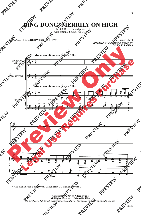## **DING DONG! MERRILY ON HIGH**

for S.A.B. voices and piano with optional SoundTrax CD\*

*Words by* **G.R. WOODWARD** (1848-1934)

French Carol *Arranged, with additional Words, by* **GARY E. PARKS**



\* Also available for 2-part (40057). SoundTrax CD available (40058).

**Copyright © 2014 by Alfred Music All Rights Reserved. Printed in USA.** *To purchase a full-length performance recording of this piece, go to alfred.com/downloads*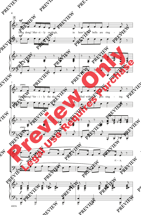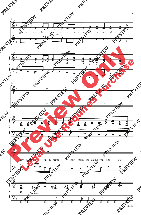![](_page_2_Figure_0.jpeg)

5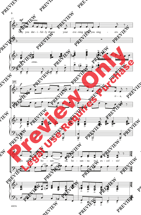![](_page_3_Figure_0.jpeg)

40056

6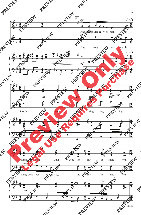![](_page_4_Figure_0.jpeg)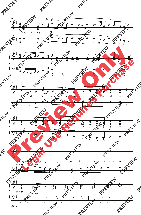![](_page_5_Figure_0.jpeg)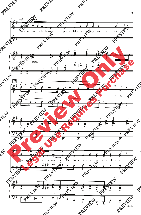![](_page_6_Figure_0.jpeg)